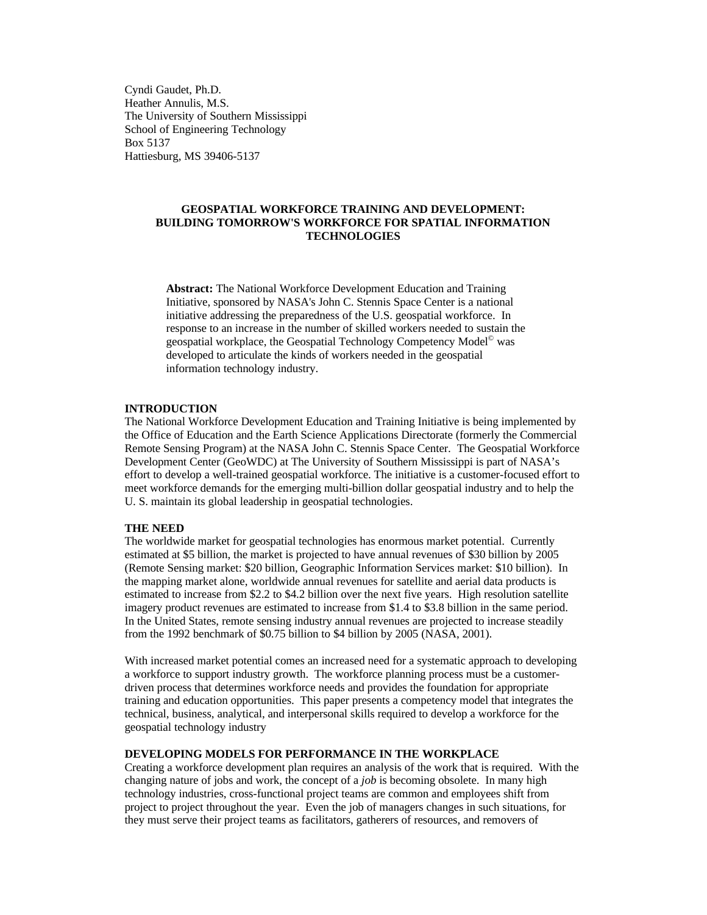Cyndi Gaudet, Ph.D. Heather Annulis, M.S. The University of Southern Mississippi School of Engineering Technology Box 5137 Hattiesburg, MS 39406-5137

# **GEOSPATIAL WORKFORCE TRAINING AND DEVELOPMENT: BUILDING TOMORROW'S WORKFORCE FOR SPATIAL INFORMATION TECHNOLOGIES**

**Abstract:** The National Workforce Development Education and Training Initiative, sponsored by NASA's John C. Stennis Space Center is a national initiative addressing the preparedness of the U.S. geospatial workforce. In response to an increase in the number of skilled workers needed to sustain the geospatial workplace, the Geospatial Technology Competency Model<sup>®</sup> was developed to articulate the kinds of workers needed in the geospatial information technology industry.

### **INTRODUCTION**

The National Workforce Development Education and Training Initiative is being implemented by the Office of Education and the Earth Science Applications Directorate (formerly the Commercial Remote Sensing Program) at the NASA John C. Stennis Space Center. The Geospatial Workforce Development Center (GeoWDC) at The University of Southern Mississippi is part of NASA's effort to develop a well-trained geospatial workforce. The initiative is a customer-focused effort to meet workforce demands for the emerging multi-billion dollar geospatial industry and to help the U. S. maintain its global leadership in geospatial technologies.

#### **THE NEED**

The worldwide market for geospatial technologies has enormous market potential. Currently estimated at \$5 billion, the market is projected to have annual revenues of \$30 billion by 2005 (Remote Sensing market: \$20 billion, Geographic Information Services market: \$10 billion). In the mapping market alone, worldwide annual revenues for satellite and aerial data products is estimated to increase from \$2.2 to \$4.2 billion over the next five years. High resolution satellite imagery product revenues are estimated to increase from \$1.4 to \$3.8 billion in the same period. In the United States, remote sensing industry annual revenues are projected to increase steadily from the 1992 benchmark of \$0.75 billion to \$4 billion by 2005 (NASA, 2001).

With increased market potential comes an increased need for a systematic approach to developing a workforce to support industry growth. The workforce planning process must be a customerdriven process that determines workforce needs and provides the foundation for appropriate training and education opportunities. This paper presents a competency model that integrates the technical, business, analytical, and interpersonal skills required to develop a workforce for the geospatial technology industry

## **DEVELOPING MODELS FOR PERFORMANCE IN THE WORKPLACE**

Creating a workforce development plan requires an analysis of the work that is required. With the changing nature of jobs and work, the concept of a *job* is becoming obsolete. In many high technology industries, cross-functional project teams are common and employees shift from project to project throughout the year. Even the job of managers changes in such situations, for they must serve their project teams as facilitators, gatherers of resources, and removers of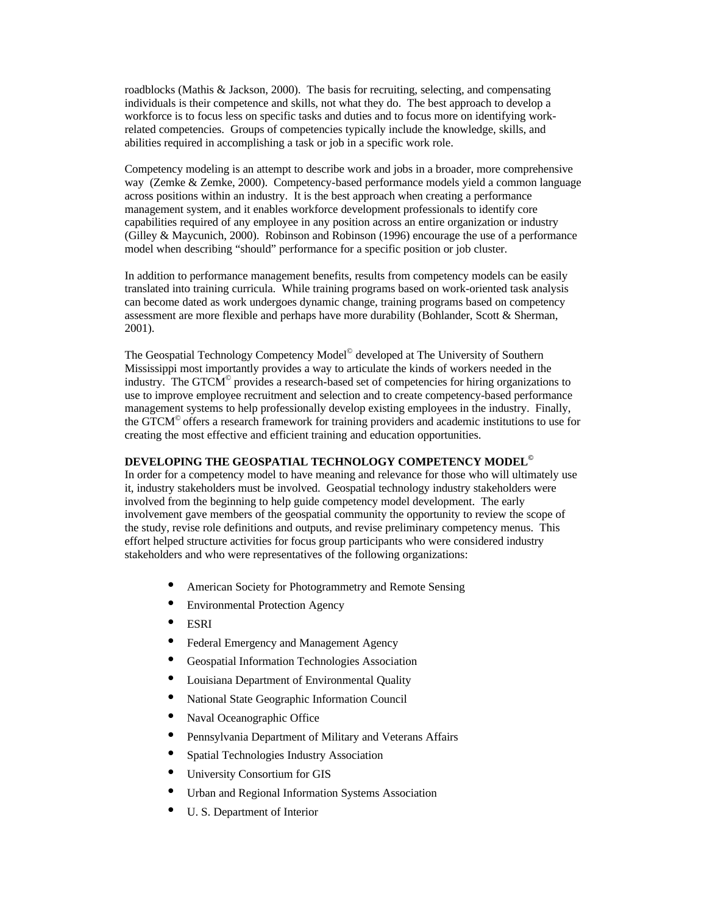roadblocks (Mathis & Jackson, 2000). The basis for recruiting, selecting, and compensating individuals is their competence and skills, not what they do. The best approach to develop a workforce is to focus less on specific tasks and duties and to focus more on identifying workrelated competencies. Groups of competencies typically include the knowledge, skills, and abilities required in accomplishing a task or job in a specific work role.

Competency modeling is an attempt to describe work and jobs in a broader, more comprehensive way (Zemke & Zemke, 2000). Competency-based performance models yield a common language across positions within an industry. It is the best approach when creating a performance management system, and it enables workforce development professionals to identify core capabilities required of any employee in any position across an entire organization or industry (Gilley & Maycunich, 2000). Robinson and Robinson (1996) encourage the use of a performance model when describing "should" performance for a specific position or job cluster.

In addition to performance management benefits, results from competency models can be easily translated into training curricula. While training programs based on work-oriented task analysis can become dated as work undergoes dynamic change, training programs based on competency assessment are more flexible and perhaps have more durability (Bohlander, Scott & Sherman, 2001).

The Geospatial Technology Competency Model<sup>©</sup> developed at The University of Southern Mississippi most importantly provides a way to articulate the kinds of workers needed in the industry. The GTCM<sup>©</sup> provides a research-based set of competencies for hiring organizations to use to improve employee recruitment and selection and to create competency-based performance management systems to help professionally develop existing employees in the industry. Finally, the GTCM<sup>©</sup> offers a research framework for training providers and academic institutions to use for creating the most effective and efficient training and education opportunities.

## **DEVELOPING THE GEOSPATIAL TECHNOLOGY COMPETENCY MODEL©**

In order for a competency model to have meaning and relevance for those who will ultimately use it, industry stakeholders must be involved. Geospatial technology industry stakeholders were involved from the beginning to help guide competency model development. The early involvement gave members of the geospatial community the opportunity to review the scope of the study, revise role definitions and outputs, and revise preliminary competency menus. This effort helped structure activities for focus group participants who were considered industry stakeholders and who were representatives of the following organizations:

- American Society for Photogrammetry and Remote Sensing
- Environmental Protection Agency
- **ESRI**
- Federal Emergency and Management Agency
- Geospatial Information Technologies Association
- Louisiana Department of Environmental Quality
- National State Geographic Information Council
- Naval Oceanographic Office
- Pennsylvania Department of Military and Veterans Affairs
- Spatial Technologies Industry Association
- University Consortium for GIS
- Urban and Regional Information Systems Association
- U. S. Department of Interior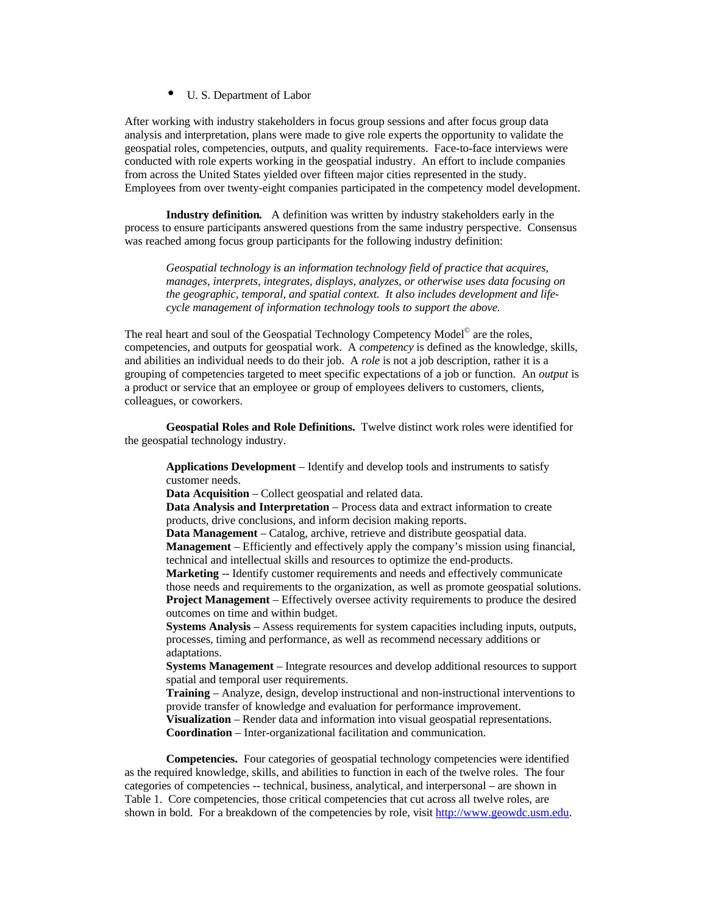• U. S. Department of Labor

After working with industry stakeholders in focus group sessions and after focus group data analysis and interpretation, plans were made to give role experts the opportunity to validate the geospatial roles, competencies, outputs, and quality requirements. Face-to-face interviews were conducted with role experts working in the geospatial industry. An effort to include companies from across the United States yielded over fifteen major cities represented in the study. Employees from over twenty-eight companies participated in the competency model development.

**Industry definition***.* A definition was written by industry stakeholders early in the process to ensure participants answered questions from the same industry perspective. Consensus was reached among focus group participants for the following industry definition:

*Geospatial technology is an information technology field of practice that acquires, manages, interprets, integrates, displays, analyzes, or otherwise uses data focusing on the geographic, temporal, and spatial context. It also includes development and lifecycle management of information technology tools to support the above.*

The real heart and soul of the Geospatial Technology Competency Model<sup>®</sup> are the roles, competencies, and outputs for geospatial work. A *competency* is defined as the knowledge, skills, and abilities an individual needs to do their job. A *role* is not a job description, rather it is a grouping of competencies targeted to meet specific expectations of a job or function. An *output* is a product or service that an employee or group of employees delivers to customers, clients, colleagues, or coworkers.

**Geospatial Roles and Role Definitions.**Twelve distinct work roles were identified for the geospatial technology industry.

**Applications Development** – Identify and develop tools and instruments to satisfy customer needs.

**Data Acquisition** – Collect geospatial and related data.

**Data Analysis and Interpretation** – Process data and extract information to create products, drive conclusions, and inform decision making reports.

**Data Management** – Catalog, archive, retrieve and distribute geospatial data.

**Management** – Efficiently and effectively apply the company's mission using financial, technical and intellectual skills and resources to optimize the end-products.

**Marketing** -- Identify customer requirements and needs and effectively communicate those needs and requirements to the organization, as well as promote geospatial solutions. **Project Management** – Effectively oversee activity requirements to produce the desired outcomes on time and within budget.

**Systems Analysis** – Assess requirements for system capacities including inputs, outputs, processes, timing and performance, as well as recommend necessary additions or adaptations.

**Systems Management** – Integrate resources and develop additional resources to support spatial and temporal user requirements.

**Training** – Analyze, design, develop instructional and non-instructional interventions to provide transfer of knowledge and evaluation for performance improvement.

**Visualization** – Render data and information into visual geospatial representations. **Coordination** – Inter-organizational facilitation and communication.

**Competencies.** Four categories of geospatial technology competencies were identified as the required knowledge, skills, and abilities to function in each of the twelve roles. The four categories of competencies -- technical, business, analytical, and interpersonal – are shown in Table 1. Core competencies, those critical competencies that cut across all twelve roles, are shown in bold. For a breakdown of the competencies by role, visit http://www.geowdc.usm.edu.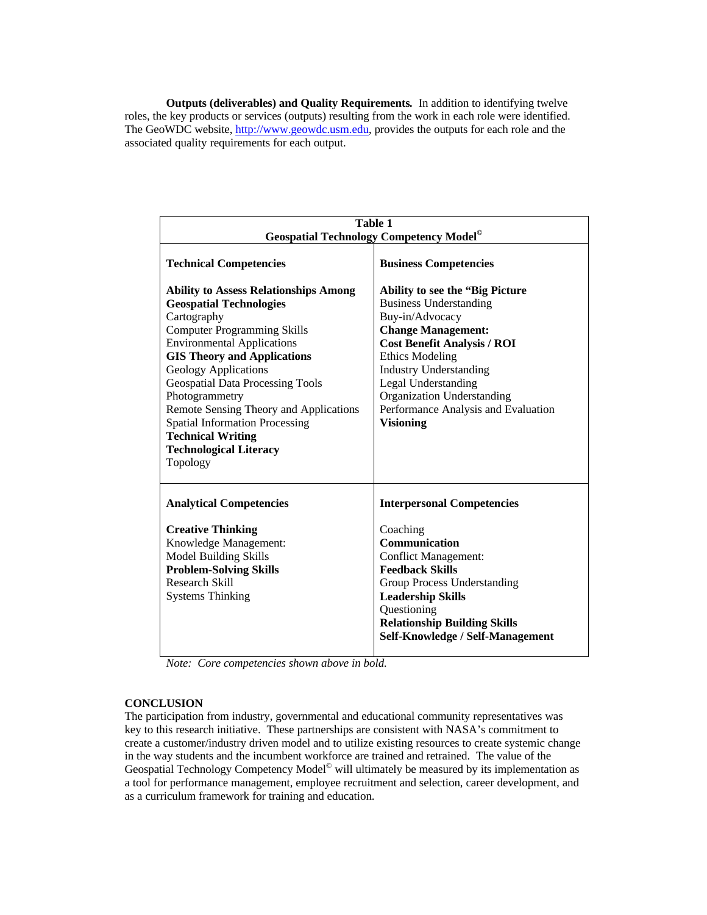**Outputs (deliverables) and Quality Requirements***.* In addition to identifying twelve roles, the key products or services (outputs) resulting from the work in each role were identified. The GeoWDC website, http://www.geowdc.usm.edu, provides the outputs for each role and the associated quality requirements for each output.

| Table 1                                                                                                                                                                                                                                                                                                                                                                                                                                                                |                                                                                                                                                                                                                                                                                                                                                  |
|------------------------------------------------------------------------------------------------------------------------------------------------------------------------------------------------------------------------------------------------------------------------------------------------------------------------------------------------------------------------------------------------------------------------------------------------------------------------|--------------------------------------------------------------------------------------------------------------------------------------------------------------------------------------------------------------------------------------------------------------------------------------------------------------------------------------------------|
| <b>Geospatial Technology Competency Model</b> <sup>©</sup>                                                                                                                                                                                                                                                                                                                                                                                                             |                                                                                                                                                                                                                                                                                                                                                  |
| <b>Technical Competencies</b>                                                                                                                                                                                                                                                                                                                                                                                                                                          | <b>Business Competencies</b>                                                                                                                                                                                                                                                                                                                     |
| <b>Ability to Assess Relationships Among</b><br><b>Geospatial Technologies</b><br>Cartography<br><b>Computer Programming Skills</b><br><b>Environmental Applications</b><br><b>GIS Theory and Applications</b><br><b>Geology Applications</b><br><b>Geospatial Data Processing Tools</b><br>Photogrammetry<br>Remote Sensing Theory and Applications<br><b>Spatial Information Processing</b><br><b>Technical Writing</b><br><b>Technological Literacy</b><br>Topology | <b>Ability to see the "Big Picture"</b><br><b>Business Understanding</b><br>Buy-in/Advocacy<br><b>Change Management:</b><br><b>Cost Benefit Analysis / ROI</b><br><b>Ethics Modeling</b><br><b>Industry Understanding</b><br>Legal Understanding<br><b>Organization Understanding</b><br>Performance Analysis and Evaluation<br><b>Visioning</b> |
| <b>Analytical Competencies</b><br><b>Creative Thinking</b><br>Knowledge Management:<br><b>Model Building Skills</b><br><b>Problem-Solving Skills</b><br>Research Skill<br><b>Systems Thinking</b>                                                                                                                                                                                                                                                                      | <b>Interpersonal Competencies</b><br>Coaching<br><b>Communication</b><br><b>Conflict Management:</b><br><b>Feedback Skills</b><br>Group Process Understanding<br><b>Leadership Skills</b><br>Questioning<br><b>Relationship Building Skills</b><br>Self-Knowledge / Self-Management                                                              |

*Note: Core competencies shown above in bold.*

## **CONCLUSION**

The participation from industry, governmental and educational community representatives was key to this research initiative. These partnerships are consistent with NASA's commitment to create a customer/industry driven model and to utilize existing resources to create systemic change in the way students and the incumbent workforce are trained and retrained. The value of the Geospatial Technology Competency Model<sup>®</sup> will ultimately be measured by its implementation as a tool for performance management, employee recruitment and selection, career development, and as a curriculum framework for training and education.